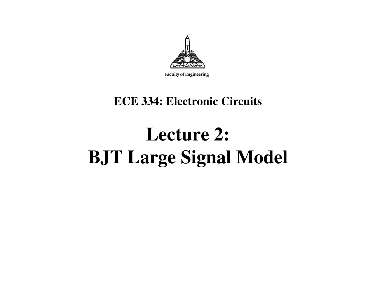

Faculty of Engineering

#### **ECE 334: Electronic Circuits**

# **Lecture 2: BJT Large Signal Model**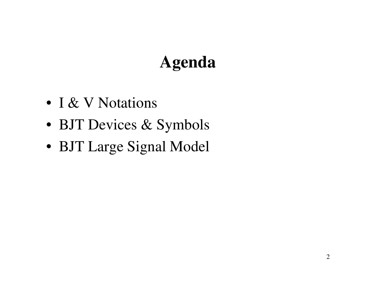# **Agenda**

- I & V Notations
- BJT Devices & Symbols
- BJT Large Signal Model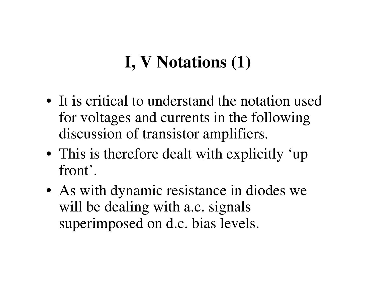# **I, V Notations (1)**

- It is critical to understand the notation used for voltages and currents in the following discussion of transistor amplifiers.
- This is therefore dealt with explicitly 'up front'.
- As with dynamic resistance in diodes we will be dealing with a.c. signals superimposed on d.c. bias levels.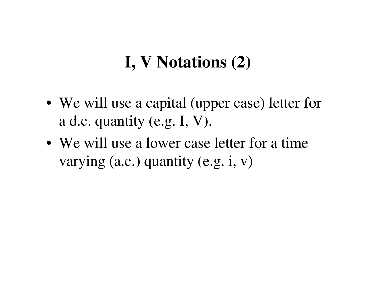#### **I, V Notations (2)**

- We will use a capital (upper case) letter for a d.c. quantity (e.g. I, V).
- We will use a lower case letter for a time varying (a.c.) quantity (e.g. i, v)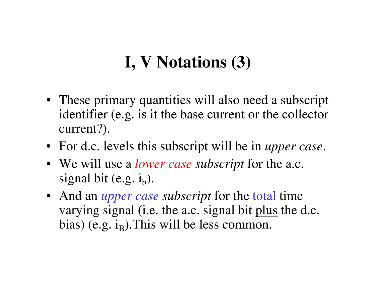# **I, V Notations (3)**

- These primary quantities will also need a subscript identifier (e.g. is it the base current or the collector current?).
- For d.c. levels this subscript will be in *upper case*.
- We will use a *lower case subscript* for the a.c. signal bit (e.g.  $i_b$ ).
- And an *upper case subscript* for the total time varying signal (i.e. the a.c. signal bit plus the d.c. bias) (e.g.  $i_{\text{B}}$ ).This will be less common.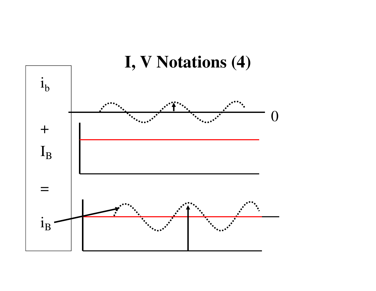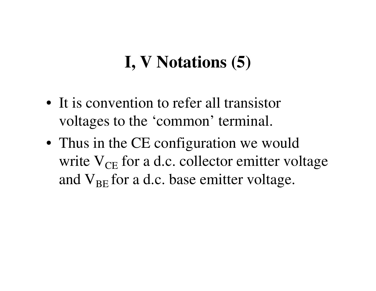#### **I, V Notations (5)**

- It is convention to refer all transistor voltages to the 'common' terminal.
- Thus in the CE configuration we would write  $V_{CE}$  for a d.c. collector emitter voltage and  $V_{BE}$  for a d.c. base emitter voltage.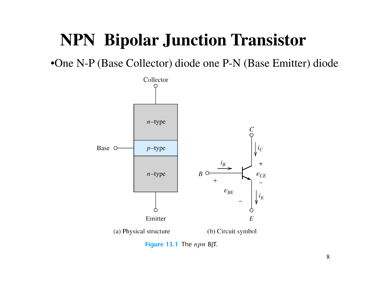#### **NPN Bipolar Junction Transistor**

•One N-P (Base Collector) diode one P-N (Base Emitter) diode



Figure 13.1 The npn BJT.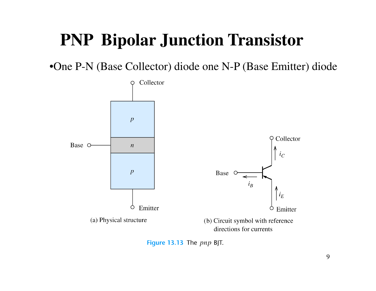### **PNP Bipolar Junction Transistor**

•One P-N (Base Collector) diode one N-P (Base Emitter) diode



Figure 13.13 The  $pnp$  BJT.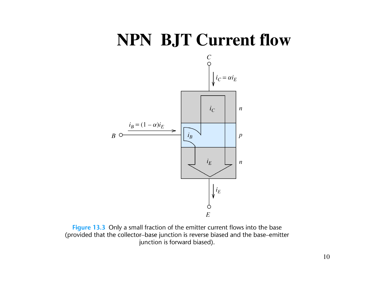#### **NPN BJT Current flow**



Figure 13.3 Only a small fraction of the emitter current flows into the base (provided that the collector-base junction is reverse biased and the base-emitter junction is forward biased).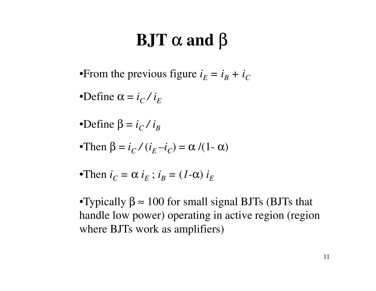# **BJT** α **and** β

•From the previous figure  $i_E = i_B + i_C$ 

•Define  $\alpha = i_C / i_E$ 

•Define  $β = i_C / i_B$ 

 $\bullet$ Then  $\beta = i_C / (i_E - i_C) = \alpha / (1 - \alpha)$ 

•Then  $i_C = \alpha i_E$ ;  $i_B = (1-\alpha)i_E$ 

•Typically  $\beta \approx 100$  for small signal BJTs (BJTs that handle low power) operating in active region (region where BJTs work as amplifiers)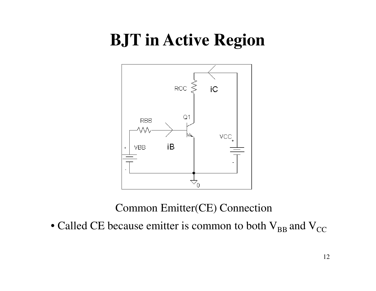#### **BJT in Active Region**



#### Common Emitter(CE) Connection

• Called CE because emitter is common to both  $\rm V_{BB}$  and  $\rm V_{CC}$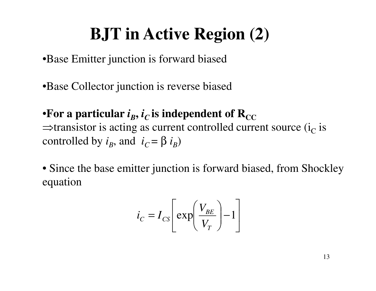# **BJT in Active Region (2)**

•Base Emitter junction is forward biased

•Base Collector junction is reverse biased

•For a particular  $i_{\mathcal{B}}, i_{\mathcal{C}}$  $\Rightarrow$ transistor is acting as current controlled current source (i<sub>C</sub>  $\overline{C}$  is independent of  $\mathbf{R}_{\mathrm{CC}}$  $\overline{c}$  is controlled by  $i_B$ , and  $i_C$  =  $\beta$   $i_{B}^{}$ )

• Since the base emitter junction is forward biased, from Shockleyequation

$$
i_C = I_{CS} \left[ \exp\left(\frac{V_{BE}}{V_T}\right) - 1 \right]
$$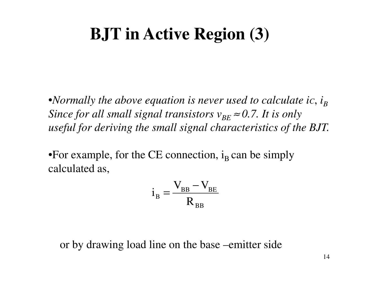#### **BJT in Active Region (3)**

•*Normally the above equation is never used to calculate ic,*  $i_B$ *Since for all small signal transistors*  $v_{BE} \approx 0.7$ *. It is only useful for deriving the small signal characteristics of the BJT.*

•For example, for the CE connection,  $i_B$  can be simply calculated as,

$$
i_{\rm B} = \frac{V_{\rm BB} - V_{\rm BE}}{R_{\rm BB}}
$$

or by drawing load line on the base –emitter side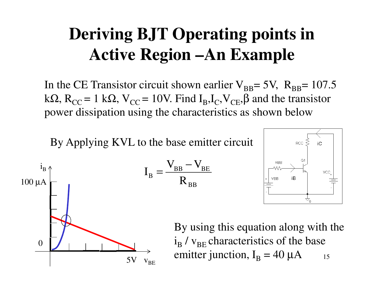# **Deriving BJT Operating points in Active Region –An Example**

In the CE Transistor circuit shown earlier  $V_{BB}$ = 5V,  $R_{BB}$ = 107.5 kΩ,  $R_{CC} = 1$  kΩ,  $V_{CC} = 10V$ . Find  $I_B, I_C, V_{CE}, \beta$  and the transistor power dissipation using the characteristics as shown below

BB

−

V

By Applying KVL to the base emitter circuit

 ${\rm V}$ 





15By using this equation along with the  $\rm i_B$  $_{\rm B}$  /  $_{\rm VBE}$  characteristics of the base emitter junction,  $\boldsymbol{\mathrm{I}}_\text{B}$  $_{\rm B}$  = 40  $\mu$ A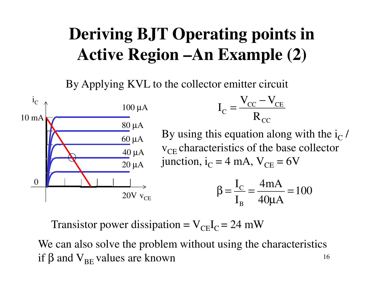# **Deriving BJT Operating points in Active Region –An Example (2)**

By Applying KVL to the collector emitter circuit



Transistor power dissipation =  $V_{CE}I_C = 24$  mW

16We can also solve the problem without using the characteristics if β and  $\rm V_{BE}$  values are known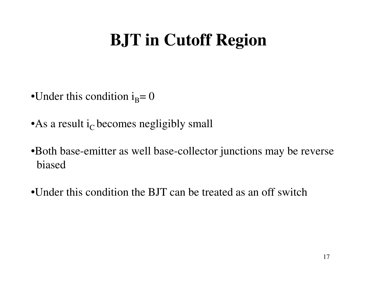# **BJT in Cutoff Region**

- •Under this condition  $i_B=0$
- As a result  $i<sub>C</sub>$  becomes negligibly small
- •Both base-emitter as well base-collector junctions may be reverse biased
- •Under this condition the BJT can be treated as an off switch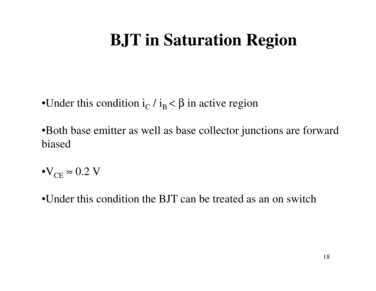## **BJT in Saturation Region**

- •Under this condition  $i_C$  $_{\rm C}/$  i<sub>B</sub> <  $\beta$  in active region
- •Both base emitter as well as base collector junctions are forward biased
- $\text{O}_\text{CE} \approx 0.2 \text{ V}$
- •Under this condition the BJT can be treated as an on switch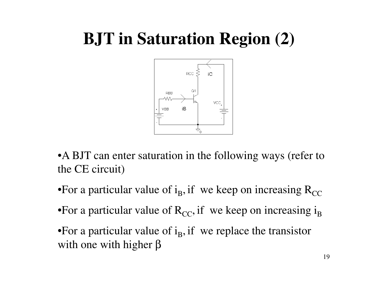# **BJT in Saturation Region (2)**



• A BJT can enter saturation in the following ways (refer to the CE circuit)

- •For a particular value of i<sub>B</sub>, if we keep on increasing  $R_{CC}$
- •For a particular value of  $R_{CC}$ , if we keep on increasing i<sub>B</sub>
- •For a particular value of  $i_B$ , if we replace the transistor with one with higher β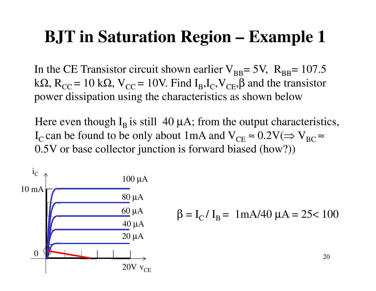#### **BJT in Saturation Region – Example 1**

In the CE Transistor circuit shown earlier  $V_{BB}$ = 5V,  $R_{BB}$ = 107.5 kΩ, R<sub>CC</sub> = 10 kΩ, V<sub>CC</sub> = 10V. Find I<sub>B</sub>,I<sub>C</sub>,V<sub>CE</sub>, $\beta$  and the transistor power dissipation using the characteristics as shown below

Here even though  $I_B$  is still 40  $\mu$ A; from the output characteristics, I<sub>C</sub> can be found to be only about 1mA and  $V_{CE} \approx 0.2 V (\Rightarrow V_{BC} \approx 0.2 V)$ 0.5V or base collector junction is forward biased (how?))

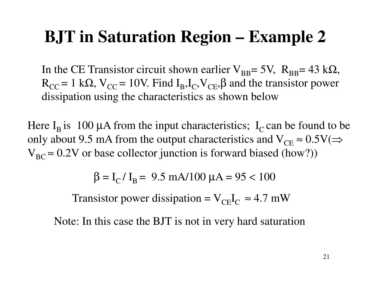#### **BJT in Saturation Region – Example 2**

In the CE Transistor circuit shown earlier  $V_{BB}$ = 5V,  $R_{BB}$ = 43 k $\Omega$ ,  $R_{CC} = 1$  kΩ,  $V_{CC} = 10V$ . Find  $I_B, I_C, V_{CE}, \beta$  and the transistor power dissipation using the characteristics as shown below

Here  $I_B$  is 100 µA from the input characteristics;  $I_C$  can be found to be only about 9.5 mA from the output characteristics and  $V_{CE} \approx 0.5 V (\Rightarrow$  $V_{BC} \approx 0.2V$  or base collector junction is forward biased (how?))

 $β = I_C / I_B = 9.5$  mA/100 μA = 95 < 100

Transistor power dissipation =  $V_{CE}I_C \approx 4.7$  mW

Note: In this case the BJT is not in very hard saturation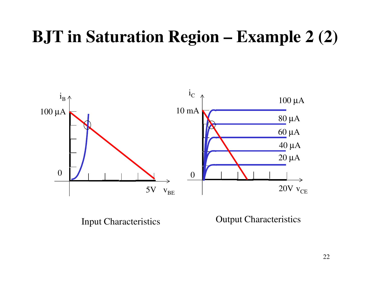## **BJT in Saturation Region – Example 2 (2)**



Input Characteristics

Output Characteristics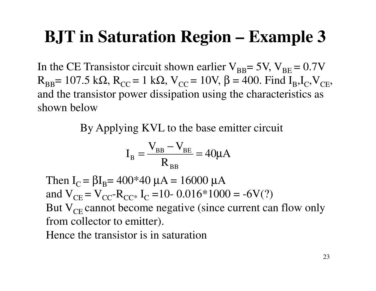#### **BJT in Saturation Region – Example 3**

In the CE Transistor circuit shown earlier  $V_{BB}$  = 5V,  $V_{BE}$  = 0.7V  $R_{BB}$ = 107.5 kΩ,  $R_{CC}$  = 1 kΩ, V<sub>CC</sub> = 10V, β = 400. Find I<sub>B</sub>,I<sub>C</sub>,V<sub>CE</sub>, and the transistor power dissipation using the characteristics as shown below

By Applying KVL to the base emitter circuit

$$
I_{\rm B} = \frac{V_{\rm BB} - V_{\rm BE}}{R_{\rm BB}} = 40 \mu A
$$

Then I<sub>C</sub> = βI<sub>B</sub>= 400\*40 μA = 16000 μA and V $_{\rm CE}$  = V $_{\rm CC}$ -R $_{\rm CC^*}$  I<sub>C</sub> =10- 0.016\*10 But  $V_{CE}$  cannot become negative (since current can flow only  $_{\rm C}$  =10- 0.016\*1000 = -6V(?) from collector to emitter).Hence the transistor is in saturation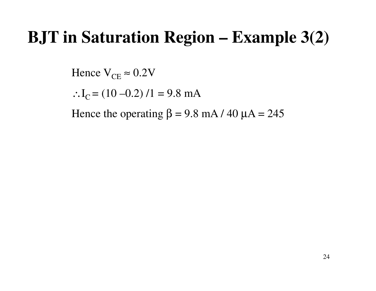#### **BJT in Saturation Region – Example 3(2)**

Hence  $V_{CE} \approx 0.2 V$ 

∴I<sub>C</sub> = (10 –0.2) /1 = 9.8 mA

Hence the operating  $\beta = 9.8$  mA / 40  $\mu$ A = 245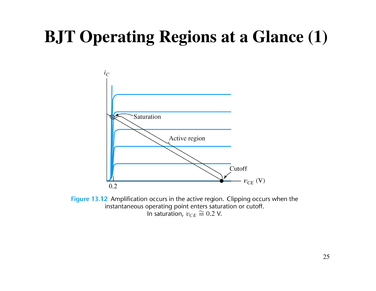# **BJT Operating Regions at a Glance (1)**



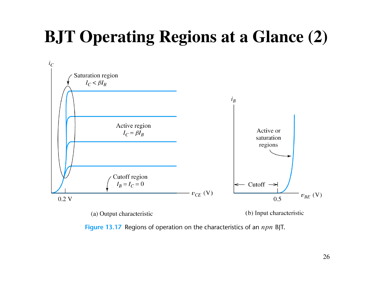# **BJT Operating Regions at a Glance (2)**



Figure 13.17 Regions of operation on the characteristics of an  $npn$  BJT.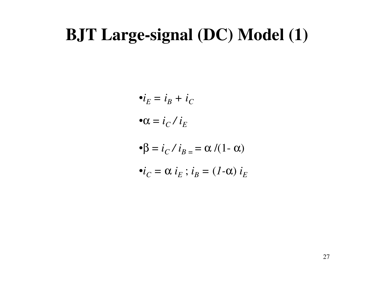#### **BJT Large-signal (DC) Model (1)**

$$
\bullet i_E = i_B + i_C
$$

$$
\bullet \alpha = i_C / i_E
$$

$$
\bullet \beta = i_C / i_{B} = \alpha / (1 - \alpha)
$$

$$
\bullet i_C = \alpha i_E \ ; i_B = (1-\alpha) i_E
$$